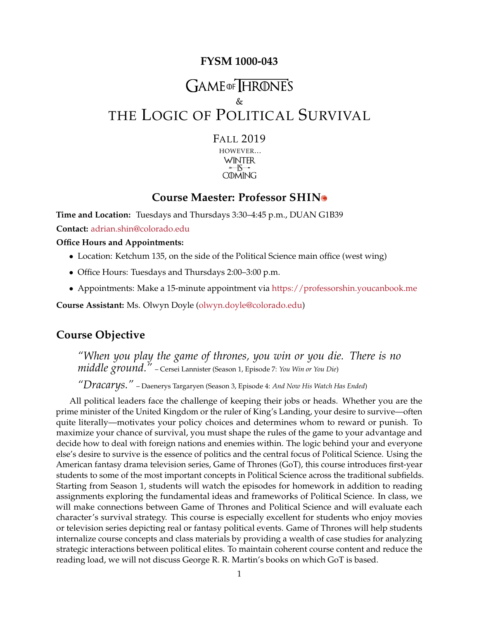#### **FYSM 1000-043**

# GAME OF HRONE'S & THE LOGIC OF POLITICAL SURVIVAL

FALL 2019 HOWEVER... **WINTER**  $-15$ 

#### **Course Maester: Professor SHIN**

**COMING** 

**Time and Location:** Tuesdays and Thursdays 3:30–4:45 p.m., DUAN G1B39 **Contact:** [adrian.shin@colorado.edu](mailto:adrian.shin@colorado.edu)

**Office Hours and Appointments:**

- Location: Ketchum 135, on the side of the Political Science main office (west wing)
- Office Hours: Tuesdays and Thursdays 2:00–3:00 p.m.
- Appointments: Make a 15-minute appointment via <https://professorshin.youcanbook.me>

**Course Assistant:** Ms. Olwyn Doyle [\(olwyn.doyle@colorado.edu\)](mailto:olwyn.doyle@colorado.edu)

#### **Course Objective**

*"When you play the game of thrones, you win or you die. There is no middle ground."* – Cersei Lannister (Season 1, Episode 7: *You Win or You Die*)

*"Dracarys."* – Daenerys Targaryen (Season 3, Episode 4: *And Now His Watch Has Ended*)

All political leaders face the challenge of keeping their jobs or heads. Whether you are the prime minister of the United Kingdom or the ruler of King's Landing, your desire to survive—often quite literally—motivates your policy choices and determines whom to reward or punish. To maximize your chance of survival, you must shape the rules of the game to your advantage and decide how to deal with foreign nations and enemies within. The logic behind your and everyone else's desire to survive is the essence of politics and the central focus of Political Science. Using the American fantasy drama television series, Game of Thrones (GoT), this course introduces first-year students to some of the most important concepts in Political Science across the traditional subfields. Starting from Season 1, students will watch the episodes for homework in addition to reading assignments exploring the fundamental ideas and frameworks of Political Science. In class, we will make connections between Game of Thrones and Political Science and will evaluate each character's survival strategy. This course is especially excellent for students who enjoy movies or television series depicting real or fantasy political events. Game of Thrones will help students internalize course concepts and class materials by providing a wealth of case studies for analyzing strategic interactions between political elites. To maintain coherent course content and reduce the reading load, we will not discuss George R. R. Martin's books on which GoT is based.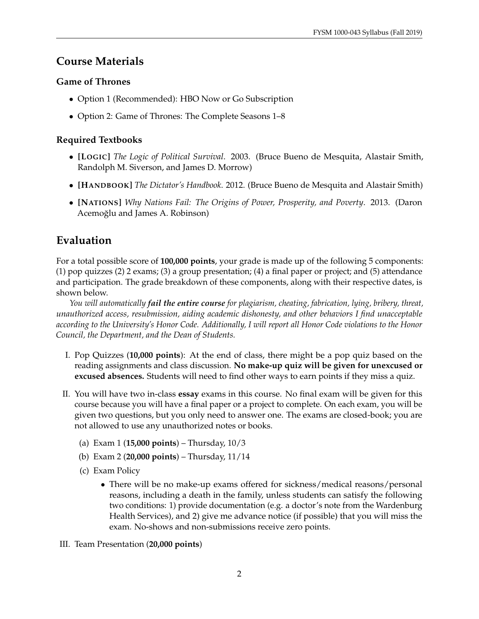## **Course Materials**

#### **Game of Thrones**

- Option 1 (Recommended): HBO Now or Go Subscription
- Option 2: Game of Thrones: The Complete Seasons 1–8

#### **Required Textbooks**

- **[LOGIC]** *The Logic of Political Survival*. 2003. (Bruce Bueno de Mesquita, Alastair Smith, Randolph M. Siverson, and James D. Morrow)
- **[HANDBOOK]** *The Dictator's Handbook*. 2012. (Bruce Bueno de Mesquita and Alastair Smith)
- **[NATIONS]** *Why Nations Fail: The Origins of Power, Prosperity, and Poverty*. 2013. (Daron Acemoğlu and James A. Robinson)

## **Evaluation**

For a total possible score of **100,000 points**, your grade is made up of the following 5 components: (1) pop quizzes (2) 2 exams; (3) a group presentation; (4) a final paper or project; and (5) attendance and participation. The grade breakdown of these components, along with their respective dates, is shown below.

*You will automatically fail the entire course for plagiarism, cheating, fabrication, lying, bribery, threat, unauthorized access, resubmission, aiding academic dishonesty, and other behaviors I find unacceptable according to the University's Honor Code. Additionally, I will report all Honor Code violations to the Honor Council, the Department, and the Dean of Students.*

- I. Pop Quizzes (**10,000 points**): At the end of class, there might be a pop quiz based on the reading assignments and class discussion. **No make-up quiz will be given for unexcused or excused absences.** Students will need to find other ways to earn points if they miss a quiz.
- II. You will have two in-class **essay** exams in this course. No final exam will be given for this course because you will have a final paper or a project to complete. On each exam, you will be given two questions, but you only need to answer one. The exams are closed-book; you are not allowed to use any unauthorized notes or books.
	- (a) Exam 1 (**15,000 points**) Thursday, 10/3
	- (b) Exam 2 (**20,000 points**) Thursday, 11/14
	- (c) Exam Policy
		- There will be no make-up exams offered for sickness/medical reasons/personal reasons, including a death in the family, unless students can satisfy the following two conditions: 1) provide documentation (e.g. a doctor's note from the Wardenburg Health Services), and 2) give me advance notice (if possible) that you will miss the exam. No-shows and non-submissions receive zero points.
- III. Team Presentation (**20,000 points**)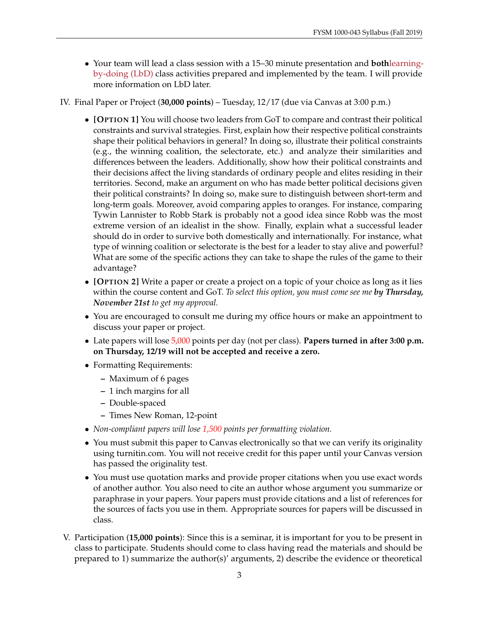• Your team will lead a class session with a 15–30 minute presentation and **both**[learning](https://opentextbc.ca/teachinginadigitalage/chapter/4-4-models-for-teaching-by-doing/)[by-doing \(LbD\)](https://opentextbc.ca/teachinginadigitalage/chapter/4-4-models-for-teaching-by-doing/) class activities prepared and implemented by the team. I will provide more information on LbD later.

#### IV. Final Paper or Project (**30,000 points**) – Tuesday, 12/17 (due via Canvas at 3:00 p.m.)

- **[OPTION 1]** You will choose two leaders from GoT to compare and contrast their political constraints and survival strategies. First, explain how their respective political constraints shape their political behaviors in general? In doing so, illustrate their political constraints (e.g., the winning coalition, the selectorate, etc.) and analyze their similarities and differences between the leaders. Additionally, show how their political constraints and their decisions affect the living standards of ordinary people and elites residing in their territories. Second, make an argument on who has made better political decisions given their political constraints? In doing so, make sure to distinguish between short-term and long-term goals. Moreover, avoid comparing apples to oranges. For instance, comparing Tywin Lannister to Robb Stark is probably not a good idea since Robb was the most extreme version of an idealist in the show. Finally, explain what a successful leader should do in order to survive both domestically and internationally. For instance, what type of winning coalition or selectorate is the best for a leader to stay alive and powerful? What are some of the specific actions they can take to shape the rules of the game to their advantage?
- **[OPTION 2]** Write a paper or create a project on a topic of your choice as long as it lies within the course content and GoT. *To select this option, you must come see me by Thursday, November 21st to get my approval.*
- You are encouraged to consult me during my office hours or make an appointment to discuss your paper or project.
- Late papers will lose 5,000 points per day (not per class). **Papers turned in after 3:00 p.m. on Thursday, 12/19 will not be accepted and receive a zero.**
- Formatting Requirements:
	- **–** Maximum of 6 pages
	- **–** 1 inch margins for all
	- **–** Double-spaced
	- **–** Times New Roman, 12-point
- *Non-compliant papers will lose 1,500 points per formatting violation.*
- You must submit this paper to Canvas electronically so that we can verify its originality using turnitin.com. You will not receive credit for this paper until your Canvas version has passed the originality test.
- You must use quotation marks and provide proper citations when you use exact words of another author. You also need to cite an author whose argument you summarize or paraphrase in your papers. Your papers must provide citations and a list of references for the sources of facts you use in them. Appropriate sources for papers will be discussed in class.
- V. Participation (**15,000 points**): Since this is a seminar, it is important for you to be present in class to participate. Students should come to class having read the materials and should be prepared to 1) summarize the author(s)' arguments, 2) describe the evidence or theoretical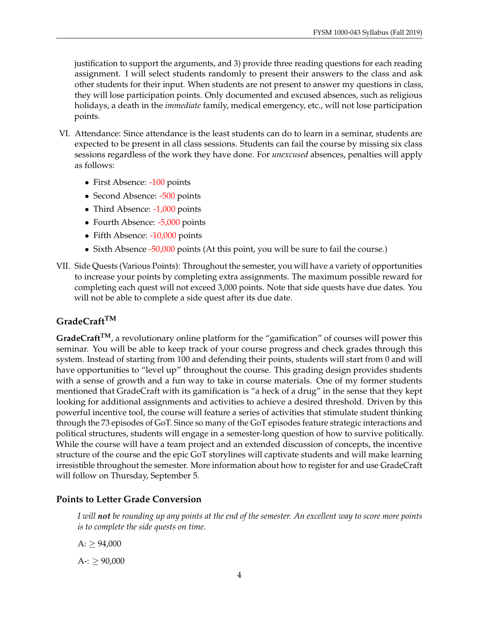justification to support the arguments, and 3) provide three reading questions for each reading assignment. I will select students randomly to present their answers to the class and ask other students for their input. When students are not present to answer my questions in class, they will lose participation points. Only documented and excused absences, such as religious holidays, a death in the *immediate* family, medical emergency, etc., will not lose participation points.

- VI. Attendance: Since attendance is the least students can do to learn in a seminar, students are expected to be present in all class sessions. Students can fail the course by missing six class sessions regardless of the work they have done. For *unexcused* absences, penalties will apply as follows:
	- First Absence: -100 points
	- Second Absence: -500 points
	- Third Absence: -1,000 points
	- Fourth Absence: -5,000 points
	- Fifth Absence: -10,000 points
	- Sixth Absence -50,000 points (At this point, you will be sure to fail the course.)
- VII. Side Quests (Various Points): Throughout the semester, you will have a variety of opportunities to increase your points by completing extra assignments. The maximum possible reward for completing each quest will not exceed 3,000 points. Note that side quests have due dates. You will not be able to complete a side quest after its due date.

#### **GradeCraftTM**

**GradeCraftTM**, a revolutionary online platform for the "gamification" of courses will power this seminar. You will be able to keep track of your course progress and check grades through this system. Instead of starting from 100 and defending their points, students will start from 0 and will have opportunities to "level up" throughout the course. This grading design provides students with a sense of growth and a fun way to take in course materials. One of my former students mentioned that GradeCraft with its gamification is "a heck of a drug" in the sense that they kept looking for additional assignments and activities to achieve a desired threshold. Driven by this powerful incentive tool, the course will feature a series of activities that stimulate student thinking through the 73 episodes of GoT. Since so many of the GoT episodes feature strategic interactions and political structures, students will engage in a semester-long question of how to survive politically. While the course will have a team project and an extended discussion of concepts, the incentive structure of the course and the epic GoT storylines will captivate students and will make learning irresistible throughout the semester. More information about how to register for and use GradeCraft will follow on Thursday, September 5.

#### **Points to Letter Grade Conversion**

*I will not be rounding up any points at the end of the semester. An excellent way to score more points is to complete the side quests on time.*

 $A:$  > 94,000

 $A-$ :  $> 90,000$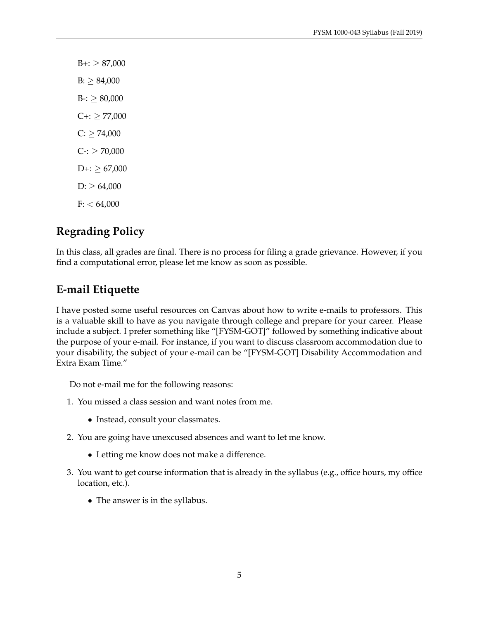$B_{+}$ :  $\geq 87,000$  $B: \geq 84,000$  $B-:= 80,000$  $C +: \geq 77,000$  $C: \geq 74,000$  $C-2 \geq 70,000$  $D+:=$   $\geq 67,000$  $D: \geq 64,000$  $F: < 64,000$ 

## **Regrading Policy**

In this class, all grades are final. There is no process for filing a grade grievance. However, if you find a computational error, please let me know as soon as possible.

## **E-mail Etiquette**

I have posted some useful resources on Canvas about how to write e-mails to professors. This is a valuable skill to have as you navigate through college and prepare for your career. Please include a subject. I prefer something like "[FYSM-GOT]" followed by something indicative about the purpose of your e-mail. For instance, if you want to discuss classroom accommodation due to your disability, the subject of your e-mail can be "[FYSM-GOT] Disability Accommodation and Extra Exam Time."

Do not e-mail me for the following reasons:

- 1. You missed a class session and want notes from me.
	- Instead, consult your classmates.
- 2. You are going have unexcused absences and want to let me know.
	- Letting me know does not make a difference.
- 3. You want to get course information that is already in the syllabus (e.g., office hours, my office location, etc.).
	- The answer is in the syllabus.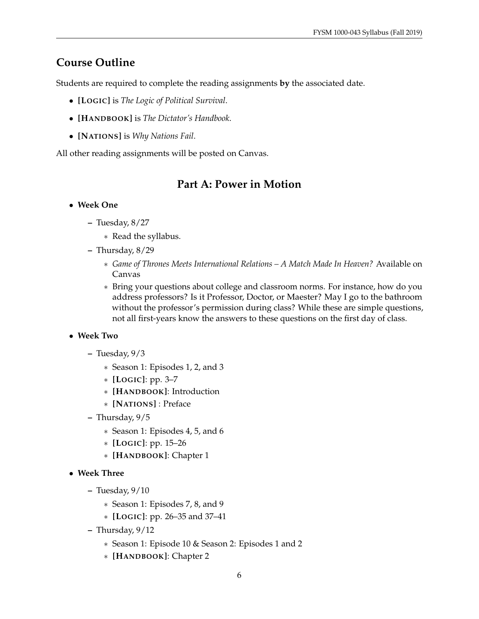## **Course Outline**

Students are required to complete the reading assignments **by** the associated date.

- **[LOGIC]** is *The Logic of Political Survival*.
- **[HANDBOOK]** is *The Dictator's Handbook*.
- **[NATIONS]** is *Why Nations Fail*.

All other reading assignments will be posted on Canvas.

## **Part A: Power in Motion**

#### • **Week One**

- **–** Tuesday, 8/27
	- ∗ Read the syllabus.
- **–** Thursday, 8/29
	- ∗ *Game of Thrones Meets International Relations A Match Made In Heaven?* Available on Canvas
	- ∗ Bring your questions about college and classroom norms. For instance, how do you address professors? Is it Professor, Doctor, or Maester? May I go to the bathroom without the professor's permission during class? While these are simple questions, not all first-years know the answers to these questions on the first day of class.

#### • **Week Two**

- **–** Tuesday, 9/3
	- ∗ Season 1: Episodes 1, 2, and 3
	- ∗ **[LOGIC]**: pp. 3–7
	- ∗ **[HANDBOOK]**: Introduction
	- ∗ **[NATIONS]** : Preface
- **–** Thursday, 9/5
	- ∗ Season 1: Episodes 4, 5, and 6
	- ∗ **[LOGIC]**: pp. 15–26
	- ∗ **[HANDBOOK]**: Chapter 1
- **Week Three**
	- **–** Tuesday, 9/10
		- ∗ Season 1: Episodes 7, 8, and 9
		- ∗ **[LOGIC]**: pp. 26–35 and 37–41
	- **–** Thursday, 9/12
		- ∗ Season 1: Episode 10 & Season 2: Episodes 1 and 2
		- ∗ **[HANDBOOK]**: Chapter 2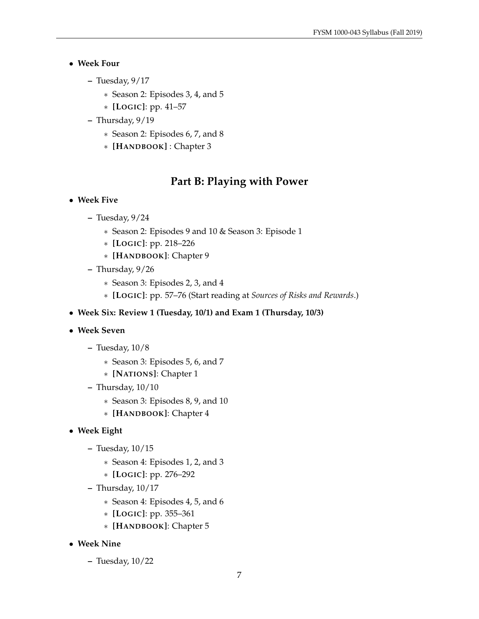#### • **Week Four**

- **–** Tuesday, 9/17
	- ∗ Season 2: Episodes 3, 4, and 5
	- ∗ **[LOGIC]**: pp. 41–57
- **–** Thursday, 9/19
	- ∗ Season 2: Episodes 6, 7, and 8
	- ∗ **[HANDBOOK]** : Chapter 3

## **Part B: Playing with Power**

#### • **Week Five**

- **–** Tuesday, 9/24
	- ∗ Season 2: Episodes 9 and 10 & Season 3: Episode 1
	- ∗ **[LOGIC]**: pp. 218–226
	- ∗ **[HANDBOOK]**: Chapter 9
- **–** Thursday, 9/26
	- ∗ Season 3: Episodes 2, 3, and 4
	- ∗ **[LOGIC]**: pp. 57–76 (Start reading at *Sources of Risks and Rewards*.)
- **Week Six: Review 1 (Tuesday, 10/1) and Exam 1 (Thursday, 10/3)**
- **Week Seven**
	- **–** Tuesday, 10/8
		- ∗ Season 3: Episodes 5, 6, and 7
		- ∗ **[NATIONS]**: Chapter 1
	- **–** Thursday, 10/10
		- ∗ Season 3: Episodes 8, 9, and 10
		- ∗ **[HANDBOOK]**: Chapter 4
- **Week Eight**
	- **–** Tuesday, 10/15
		- ∗ Season 4: Episodes 1, 2, and 3
		- ∗ **[LOGIC]**: pp. 276–292
	- **–** Thursday, 10/17
		- ∗ Season 4: Episodes 4, 5, and 6
		- ∗ **[LOGIC]**: pp. 355–361
		- ∗ **[HANDBOOK]**: Chapter 5
- **Week Nine**
	- **–** Tuesday, 10/22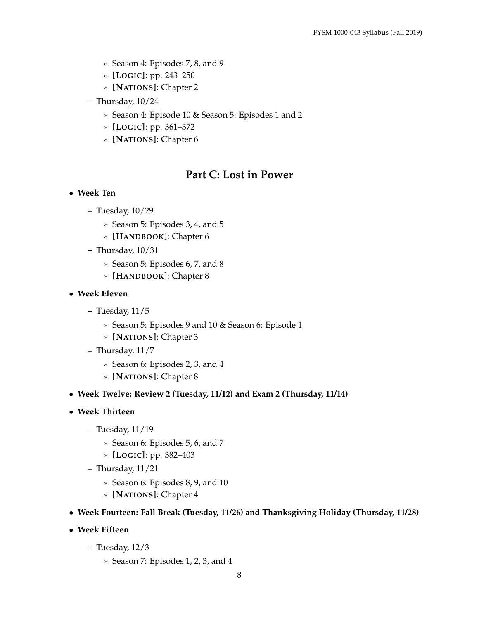- ∗ Season 4: Episodes 7, 8, and 9
- ∗ **[LOGIC]**: pp. 243–250
- ∗ **[NATIONS]**: Chapter 2
- **–** Thursday, 10/24
	- ∗ Season 4: Episode 10 & Season 5: Episodes 1 and 2
	- ∗ **[LOGIC]**: pp. 361–372
	- ∗ **[NATIONS]**: Chapter 6

### **Part C: Lost in Power**

- **Week Ten**
	- **–** Tuesday, 10/29
		- ∗ Season 5: Episodes 3, 4, and 5
		- ∗ **[HANDBOOK]**: Chapter 6
	- **–** Thursday, 10/31
		- ∗ Season 5: Episodes 6, 7, and 8
		- ∗ **[HANDBOOK]**: Chapter 8
- **Week Eleven**
	- **–** Tuesday, 11/5
		- ∗ Season 5: Episodes 9 and 10 & Season 6: Episode 1
		- ∗ **[NATIONS]**: Chapter 3
	- **–** Thursday, 11/7
		- ∗ Season 6: Episodes 2, 3, and 4
		- ∗ **[NATIONS]**: Chapter 8
- **Week Twelve: Review 2 (Tuesday, 11/12) and Exam 2 (Thursday, 11/14)**
- **Week Thirteen**
	- **–** Tuesday, 11/19
		- ∗ Season 6: Episodes 5, 6, and 7
		- ∗ **[LOGIC]**: pp. 382–403
	- **–** Thursday, 11/21
		- ∗ Season 6: Episodes 8, 9, and 10
		- ∗ **[NATIONS]**: Chapter 4
- **Week Fourteen: Fall Break (Tuesday, 11/26) and Thanksgiving Holiday (Thursday, 11/28)**
- **Week Fifteen**
	- **–** Tuesday, 12/3
		- ∗ Season 7: Episodes 1, 2, 3, and 4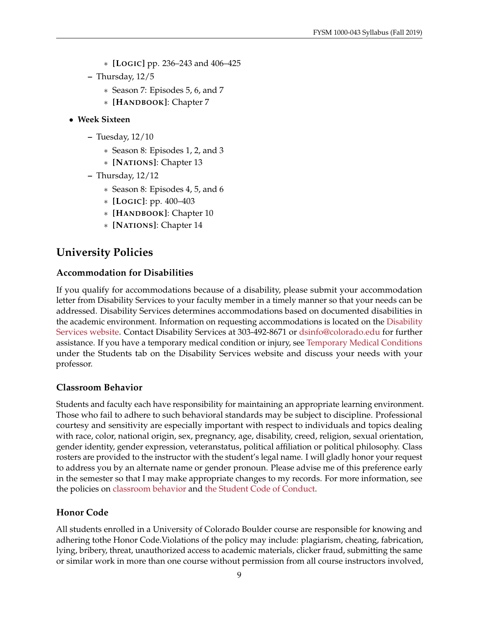- ∗ **[LOGIC]** pp. 236–243 and 406–425
- **–** Thursday, 12/5
	- ∗ Season 7: Episodes 5, 6, and 7
	- ∗ **[HANDBOOK]**: Chapter 7

#### • **Week Sixteen**

- **–** Tuesday, 12/10
	- ∗ Season 8: Episodes 1, 2, and 3
	- ∗ **[NATIONS]**: Chapter 13
- **–** Thursday, 12/12
	- ∗ Season 8: Episodes 4, 5, and 6
	- ∗ **[LOGIC]**: pp. 400–403
	- ∗ **[HANDBOOK]**: Chapter 10
	- ∗ **[NATIONS]**: Chapter 14

## **University Policies**

#### **Accommodation for Disabilities**

If you qualify for accommodations because of a disability, please submit your accommodation letter from Disability Services to your faculty member in a timely manner so that your needs can be addressed. Disability Services determines accommodations based on documented disabilities in the academic environment. Information on requesting accommodations is located on the [Disability](https://www.colorado.edu/disabilityservices/students) [Services website.](https://www.colorado.edu/disabilityservices/students) Contact Disability Services at 303-492-8671 or [dsinfo@colorado.edu](mailto:dsinfo@colorado.edu) for further assistance. If you have a temporary medical condition or injury, see [Temporary Medical Conditions](https://www.colorado.edu/disabilityservices/students/temporary-medical-conditions) under the Students tab on the Disability Services website and discuss your needs with your professor.

#### **Classroom Behavior**

Students and faculty each have responsibility for maintaining an appropriate learning environment. Those who fail to adhere to such behavioral standards may be subject to discipline. Professional courtesy and sensitivity are especially important with respect to individuals and topics dealing with race, color, national origin, sex, pregnancy, age, disability, creed, religion, sexual orientation, gender identity, gender expression, veteranstatus, political affiliation or political philosophy. Class rosters are provided to the instructor with the student's legal name. I will gladly honor your request to address you by an alternate name or gender pronoun. Please advise me of this preference early in the semester so that I may make appropriate changes to my records. For more information, see the policies on [classroom behavior](https://www.colorado.edu/policies/student-classroom-and-course-related-behavior) and [the Student Code of Conduct.](https://www.colorado.edu/sccr/)

#### **Honor Code**

All students enrolled in a University of Colorado Boulder course are responsible for knowing and adhering tothe Honor Code.Violations of the policy may include: plagiarism, cheating, fabrication, lying, bribery, threat, unauthorized access to academic materials, clicker fraud, submitting the same or similar work in more than one course without permission from all course instructors involved,